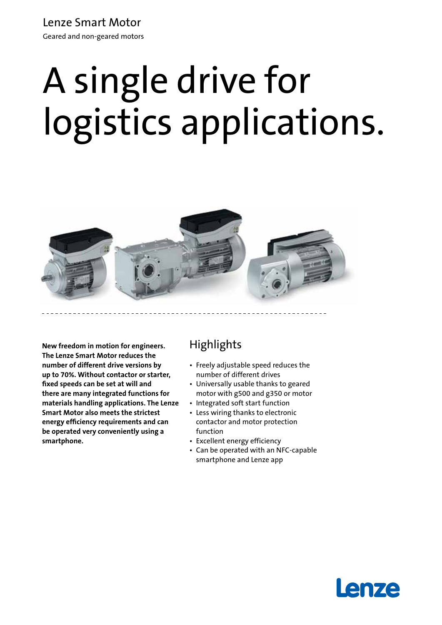### Lenze Smart Motor

Geared and non-geared motors

# A single drive for logistics applications.



**New freedom in motion for engineers. The Lenze Smart Motor reduces the number of different drive versions by up to 70%. Without contactor or starter, fixed speeds can be set at will and there are many integrated functions for materials handling applications. The Lenze Smart Motor also meets the strictest energy efficiency requirements and can be operated very conveniently using a smartphone.**

# **Highlights**

- • Freely adjustable speed reduces the number of different drives
- Universally usable thanks to geared motor with g500 and g350 or motor
- Integrated soft start function
- Less wiring thanks to electronic contactor and motor protection function
- Excellent energy efficiency
- • Can be operated with an NFC-capable smartphone and Lenze app